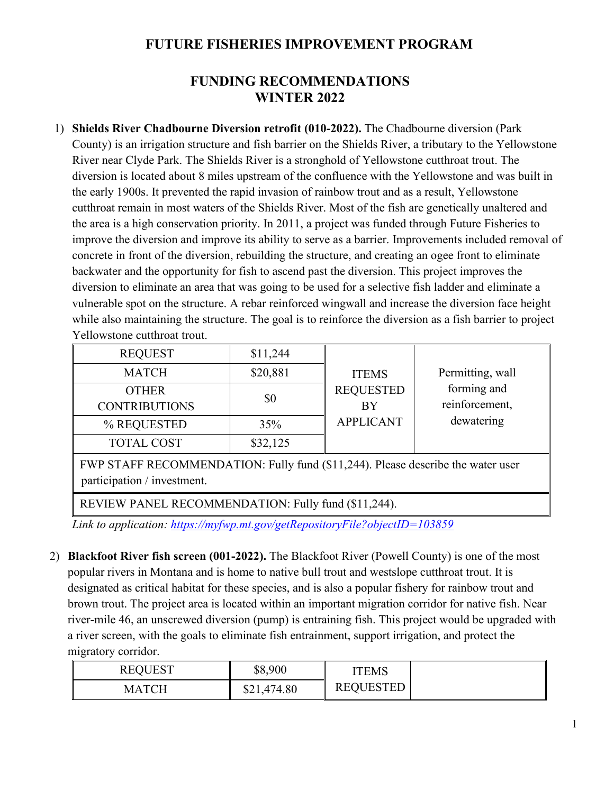## **FUTURE FISHERIES IMPROVEMENT PROGRAM**

## **FUNDING RECOMMENDATIONS WINTER 2022**

1) **Shields River Chadbourne Diversion retrofit (010-2022).** The Chadbourne diversion (Park County) is an irrigation structure and fish barrier on the Shields River, a tributary to the Yellowstone River near Clyde Park. The Shields River is a stronghold of Yellowstone cutthroat trout. The diversion is located about 8 miles upstream of the confluence with the Yellowstone and was built in the early 1900s. It prevented the rapid invasion of rainbow trout and as a result, Yellowstone cutthroat remain in most waters of the Shields River. Most of the fish are genetically unaltered and the area is a high conservation priority. In 2011, a project was funded through Future Fisheries to improve the diversion and improve its ability to serve as a barrier. Improvements included removal of concrete in front of the diversion, rebuilding the structure, and creating an ogee front to eliminate backwater and the opportunity for fish to ascend past the diversion. This project improves the diversion to eliminate an area that was going to be used for a selective fish ladder and eliminate a vulnerable spot on the structure. A rebar reinforced wingwall and increase the diversion face height while also maintaining the structure. The goal is to reinforce the diversion as a fish barrier to project Yellowstone cutthroat trout.

| <b>REQUEST</b>       | \$11,244 |                  |                  |
|----------------------|----------|------------------|------------------|
| <b>MATCH</b>         | \$20,881 | <b>ITEMS</b>     | Permitting, wall |
| <b>OTHER</b>         | \$0      | <b>REQUESTED</b> | forming and      |
| <b>CONTRIBUTIONS</b> |          | BY               | reinforcement,   |
| % REQUESTED          | 35%      | <b>APPLICANT</b> | dewatering       |
| <b>TOTAL COST</b>    | \$32,125 |                  |                  |

FWP STAFF RECOMMENDATION: Fully fund (\$11,244). Please describe the water user participation / investment.

REVIEW PANEL RECOMMENDATION: Fully fund (\$11,244).

*Link to application: <https://myfwp.mt.gov/getRepositoryFile?objectID=103859>*

2) **Blackfoot River fish screen (001-2022).** The Blackfoot River (Powell County) is one of the most popular rivers in Montana and is home to native bull trout and westslope cutthroat trout. It is designated as critical habitat for these species, and is also a popular fishery for rainbow trout and brown trout. The project area is located within an important migration corridor for native fish. Near river-mile 46, an unscrewed diversion (pump) is entraining fish. This project would be upgraded with a river screen, with the goals to eliminate fish entrainment, support irrigation, and protect the migratory corridor.

| <b>REQUEST</b> | \$8,900     | ITEMS            |  |
|----------------|-------------|------------------|--|
| МАТСН          | \$21,474.80 | <b>REQUESTED</b> |  |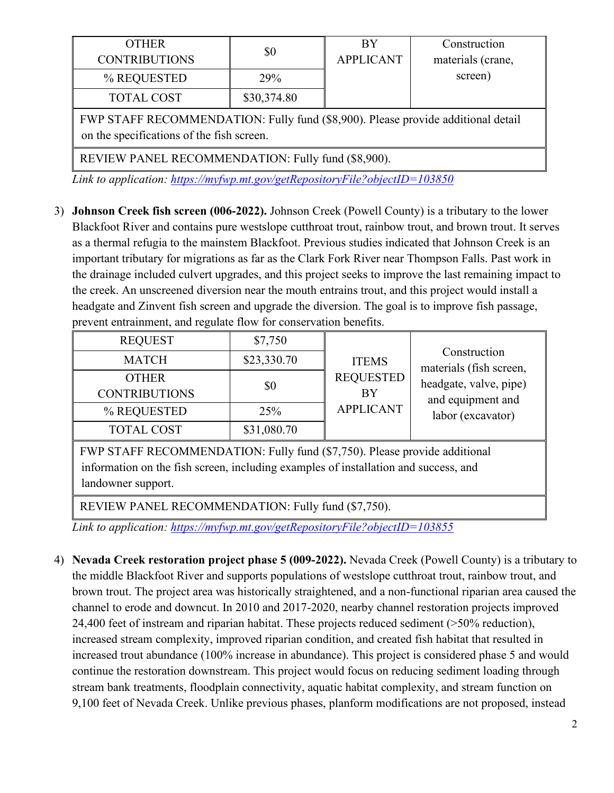| <b>OTHER</b>                                                                                                                  |             | BY               | Construction      |  |  |
|-------------------------------------------------------------------------------------------------------------------------------|-------------|------------------|-------------------|--|--|
| <b>CONTRIBUTIONS</b>                                                                                                          | \$0         | <b>APPLICANT</b> | materials (crane, |  |  |
| % REQUESTED                                                                                                                   | <b>29%</b>  |                  | screen)           |  |  |
| <b>TOTAL COST</b>                                                                                                             | \$30,374.80 |                  |                   |  |  |
| FWP STAFF RECOMMENDATION: Fully fund (\$8,900). Please provide additional detail<br>on the specifications of the fish screen. |             |                  |                   |  |  |
| $\overline{1}$                                                                                                                |             |                  |                   |  |  |

REVIEW PANEL RECOMMENDATION: Fully fund (\$8,900).

*Link to application: <https://myfwp.mt.gov/getRepositoryFile?objectID=103850>*

3) **Johnson Creek fish screen (006-2022).** Johnson Creek (Powell County) is a tributary to the lower Blackfoot River and contains pure westslope cutthroat trout, rainbow trout, and brown trout. It serves as a thermal refugia to the mainstem Blackfoot. Previous studies indicated that Johnson Creek is an important tributary for migrations as far as the Clark Fork River near Thompson Falls. Past work in the drainage included culvert upgrades, and this project seeks to improve the last remaining impact to the creek. An unscreened diversion near the mouth entrains trout, and this project would install a headgate and Zinvent fish screen and upgrade the diversion. The goal is to improve fish passage, prevent entrainment, and regulate flow for conservation benefits.

| <b>REQUEST</b>                                                                                                                                                                         | \$7,750     | <b>ITEMS</b><br><b>REQUESTED</b><br><b>BY</b><br><b>APPLICANT</b> |                                             |  |
|----------------------------------------------------------------------------------------------------------------------------------------------------------------------------------------|-------------|-------------------------------------------------------------------|---------------------------------------------|--|
| <b>MATCH</b>                                                                                                                                                                           | \$23,330.70 |                                                                   | Construction<br>materials (fish screen,     |  |
| <b>OTHER</b><br><b>CONTRIBUTIONS</b>                                                                                                                                                   | \$0         |                                                                   | headgate, valve, pipe)<br>and equipment and |  |
| % REQUESTED                                                                                                                                                                            | 25%         |                                                                   | labor (excavator)                           |  |
| <b>TOTAL COST</b>                                                                                                                                                                      | \$31,080.70 |                                                                   |                                             |  |
| FWP STAFF RECOMMENDATION: Fully fund (\$7,750). Please provide additional<br>information on the fish screen, including examples of installation and success, and<br>landowner support. |             |                                                                   |                                             |  |
| REVIEW PANEL RECOMMENDATION: Fully fund (\$7,750).                                                                                                                                     |             |                                                                   |                                             |  |

*Link to application: <https://myfwp.mt.gov/getRepositoryFile?objectID=103855>*

4) **Nevada Creek restoration project phase 5 (009-2022).** Nevada Creek (Powell County) is a tributary to the middle Blackfoot River and supports populations of westslope cutthroat trout, rainbow trout, and brown trout. The project area was historically straightened, and a non-functional riparian area caused the channel to erode and downcut. In 2010 and 2017-2020, nearby channel restoration projects improved 24,400 feet of instream and riparian habitat. These projects reduced sediment (>50% reduction), increased stream complexity, improved riparian condition, and created fish habitat that resulted in increased trout abundance (100% increase in abundance). This project is considered phase 5 and would continue the restoration downstream. This project would focus on reducing sediment loading through stream bank treatments, floodplain connectivity, aquatic habitat complexity, and stream function on 9,100 feet of Nevada Creek. Unlike previous phases, planform modifications are not proposed, instead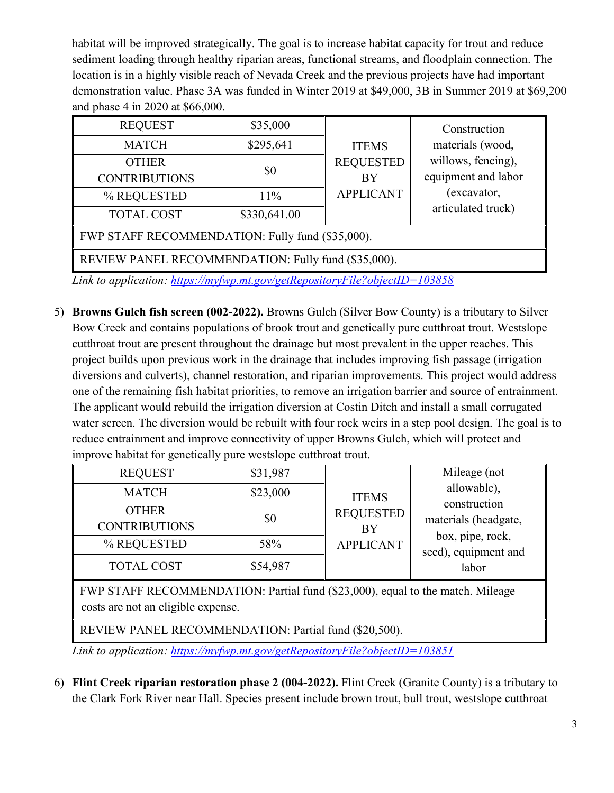habitat will be improved strategically. The goal is to increase habitat capacity for trout and reduce sediment loading through healthy riparian areas, functional streams, and floodplain connection. The location is in a highly visible reach of Nevada Creek and the previous projects have had important demonstration value. Phase 3A was funded in Winter 2019 at \$49,000, 3B in Summer 2019 at \$69,200 and phase 4 in 2020 at \$66,000.

| <b>REQUEST</b>                                      | \$35,000     |                  | Construction        |  |
|-----------------------------------------------------|--------------|------------------|---------------------|--|
| <b>MATCH</b>                                        | \$295,641    | <b>ITEMS</b>     | materials (wood,    |  |
| <b>OTHER</b>                                        | \$0          | <b>REQUESTED</b> | willows, fencing),  |  |
| <b>CONTRIBUTIONS</b>                                |              | BY               | equipment and labor |  |
| % REQUESTED                                         | 11%          | <b>APPLICANT</b> | (excavator,         |  |
| <b>TOTAL COST</b>                                   | \$330,641.00 |                  | articulated truck)  |  |
| FWP STAFF RECOMMENDATION: Fully fund (\$35,000).    |              |                  |                     |  |
| REVIEW PANEL RECOMMENDATION: Fully fund (\$35,000). |              |                  |                     |  |

*Link to application: <https://myfwp.mt.gov/getRepositoryFile?objectID=103858>*

5) **Browns Gulch fish screen (002-2022).** Browns Gulch (Silver Bow County) is a tributary to Silver Bow Creek and contains populations of brook trout and genetically pure cutthroat trout. Westslope cutthroat trout are present throughout the drainage but most prevalent in the upper reaches. This project builds upon previous work in the drainage that includes improving fish passage (irrigation diversions and culverts), channel restoration, and riparian improvements. This project would address one of the remaining fish habitat priorities, to remove an irrigation barrier and source of entrainment. The applicant would rebuild the irrigation diversion at Costin Ditch and install a small corrugated water screen. The diversion would be rebuilt with four rock weirs in a step pool design. The goal is to reduce entrainment and improve connectivity of upper Browns Gulch, which will protect and improve habitat for genetically pure westslope cutthroat trout.

| <b>REQUEST</b>                                                                                                       | \$31,987 | <b>ITEMS</b><br><b>REQUESTED</b><br>BY<br><b>APPLICANT</b> | Mileage (not                             |  |
|----------------------------------------------------------------------------------------------------------------------|----------|------------------------------------------------------------|------------------------------------------|--|
| <b>MATCH</b>                                                                                                         | \$23,000 |                                                            | allowable),                              |  |
| <b>OTHER</b><br><b>CONTRIBUTIONS</b>                                                                                 | \$0      |                                                            | construction<br>materials (headgate,     |  |
| % REQUESTED                                                                                                          | 58%      |                                                            | box, pipe, rock,<br>seed), equipment and |  |
| <b>TOTAL COST</b>                                                                                                    | \$54,987 |                                                            | labor                                    |  |
| FWP STAFF RECOMMENDATION: Partial fund (\$23,000), equal to the match. Mileage<br>costs are not an eligible expense. |          |                                                            |                                          |  |
| REVIEW PANEL RECOMMENDATION: Partial fund (\$20,500).                                                                |          |                                                            |                                          |  |

*Link to application: <https://myfwp.mt.gov/getRepositoryFile?objectID=103851>*

6) **Flint Creek riparian restoration phase 2 (004-2022).** Flint Creek (Granite County) is a tributary to the Clark Fork River near Hall. Species present include brown trout, bull trout, westslope cutthroat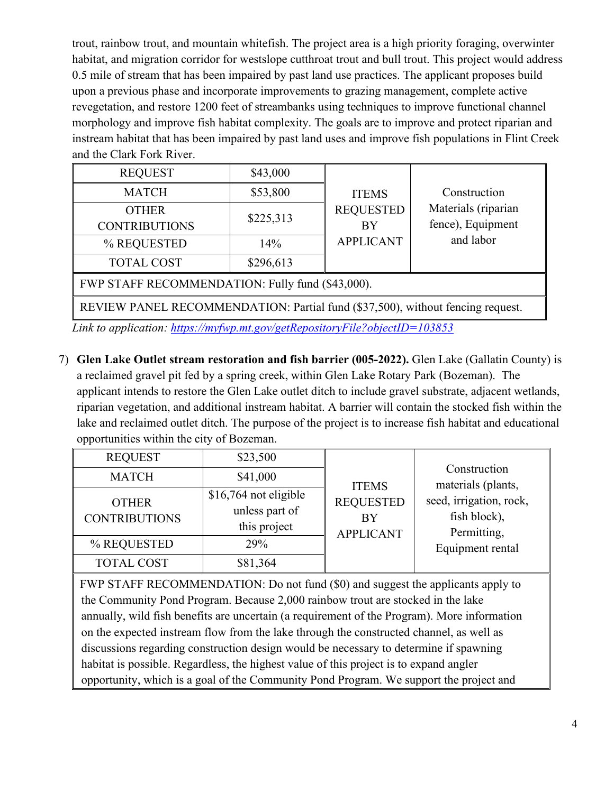trout, rainbow trout, and mountain whitefish. The project area is a high priority foraging, overwinter habitat, and migration corridor for westslope cutthroat trout and bull trout. This project would address 0.5 mile of stream that has been impaired by past land use practices. The applicant proposes build upon a previous phase and incorporate improvements to grazing management, complete active revegetation, and restore 1200 feet of streambanks using techniques to improve functional channel morphology and improve fish habitat complexity. The goals are to improve and protect riparian and instream habitat that has been impaired by past land uses and improve fish populations in Flint Creek and the Clark Fork River.

| <b>REQUEST</b>                                                                 | \$43,000  | <b>ITEMS</b><br><b>REQUESTED</b><br><b>BY</b><br><b>APPLICANT</b> |                                          |  |
|--------------------------------------------------------------------------------|-----------|-------------------------------------------------------------------|------------------------------------------|--|
| <b>MATCH</b>                                                                   | \$53,800  |                                                                   | Construction                             |  |
| <b>OTHER</b><br><b>CONTRIBUTIONS</b>                                           | \$225,313 |                                                                   | Materials (riparian<br>fence), Equipment |  |
| % REQUESTED                                                                    | 14%       |                                                                   | and labor                                |  |
| <b>TOTAL COST</b>                                                              | \$296,613 |                                                                   |                                          |  |
| FWP STAFF RECOMMENDATION: Fully fund (\$43,000).                               |           |                                                                   |                                          |  |
| REVIEW PANEL RECOMMENDATION: Partial fund (\$37,500), without fencing request. |           |                                                                   |                                          |  |

*Link to application: <https://myfwp.mt.gov/getRepositoryFile?objectID=103853>*

7) **Glen Lake Outlet stream restoration and fish barrier (005-2022).** Glen Lake (Gallatin County) is a reclaimed gravel pit fed by a spring creek, within Glen Lake Rotary Park (Bozeman). The applicant intends to restore the Glen Lake outlet ditch to include gravel substrate, adjacent wetlands, riparian vegetation, and additional instream habitat. A barrier will contain the stocked fish within the lake and reclaimed outlet ditch. The purpose of the project is to increase fish habitat and educational opportunities within the city of Bozeman.

| <b>REQUEST</b>                       | \$23,500                                                |                                                            |                                                        |                                    |
|--------------------------------------|---------------------------------------------------------|------------------------------------------------------------|--------------------------------------------------------|------------------------------------|
| <b>MATCH</b>                         | \$41,000                                                | <b>ITEMS</b><br><b>REQUESTED</b><br>BY<br><b>APPLICANT</b> |                                                        | Construction<br>materials (plants, |
| <b>OTHER</b><br><b>CONTRIBUTIONS</b> | \$16,764 not eligible<br>unless part of<br>this project |                                                            | seed, irrigation, rock,<br>fish block),<br>Permitting, |                                    |
| % REQUESTED                          | 29%                                                     |                                                            | Equipment rental                                       |                                    |
| <b>TOTAL COST</b>                    | \$81,364                                                |                                                            |                                                        |                                    |

FWP STAFF RECOMMENDATION: Do not fund (\$0) and suggest the applicants apply to the Community Pond Program. Because 2,000 rainbow trout are stocked in the lake annually, wild fish benefits are uncertain (a requirement of the Program). More information on the expected instream flow from the lake through the constructed channel, as well as discussions regarding construction design would be necessary to determine if spawning habitat is possible. Regardless, the highest value of this project is to expand angler opportunity, which is a goal of the Community Pond Program. We support the project and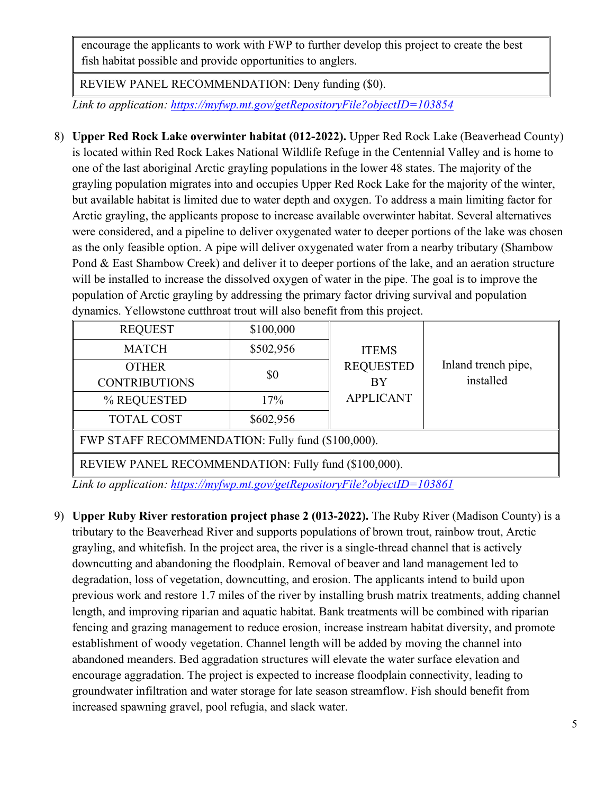encourage the applicants to work with FWP to further develop this project to create the best fish habitat possible and provide opportunities to anglers.

REVIEW PANEL RECOMMENDATION: Deny funding (\$0).

*Link to application: <https://myfwp.mt.gov/getRepositoryFile?objectID=103854>*

8) **Upper Red Rock Lake overwinter habitat (012-2022).** Upper Red Rock Lake (Beaverhead County) is located within Red Rock Lakes National Wildlife Refuge in the Centennial Valley and is home to one of the last aboriginal Arctic grayling populations in the lower 48 states. The majority of the grayling population migrates into and occupies Upper Red Rock Lake for the majority of the winter, but available habitat is limited due to water depth and oxygen. To address a main limiting factor for Arctic grayling, the applicants propose to increase available overwinter habitat. Several alternatives were considered, and a pipeline to deliver oxygenated water to deeper portions of the lake was chosen as the only feasible option. A pipe will deliver oxygenated water from a nearby tributary (Shambow Pond & East Shambow Creek) and deliver it to deeper portions of the lake, and an aeration structure will be installed to increase the dissolved oxygen of water in the pipe. The goal is to improve the population of Arctic grayling by addressing the primary factor driving survival and population dynamics. Yellowstone cutthroat trout will also benefit from this project.

| <b>REQUEST</b>                                       | \$100,000 |                  |                     |  |
|------------------------------------------------------|-----------|------------------|---------------------|--|
| <b>MATCH</b>                                         | \$502,956 | <b>ITEMS</b>     |                     |  |
| <b>OTHER</b>                                         |           | <b>REQUESTED</b> | Inland trench pipe, |  |
| <b>CONTRIBUTIONS</b>                                 | \$0       | BY               | installed           |  |
| % REQUESTED                                          | 17%       | <b>APPLICANT</b> |                     |  |
| <b>TOTAL COST</b>                                    | \$602,956 |                  |                     |  |
| FWP STAFF RECOMMENDATION: Fully fund (\$100,000).    |           |                  |                     |  |
| REVIEW PANEL RECOMMENDATION: Fully fund (\$100,000). |           |                  |                     |  |

*Link to application: <https://myfwp.mt.gov/getRepositoryFile?objectID=103861>*

9) **Upper Ruby River restoration project phase 2 (013-2022).** The Ruby River (Madison County) is a tributary to the Beaverhead River and supports populations of brown trout, rainbow trout, Arctic grayling, and whitefish. In the project area, the river is a single-thread channel that is actively downcutting and abandoning the floodplain. Removal of beaver and land management led to degradation, loss of vegetation, downcutting, and erosion. The applicants intend to build upon previous work and restore 1.7 miles of the river by installing brush matrix treatments, adding channel length, and improving riparian and aquatic habitat. Bank treatments will be combined with riparian fencing and grazing management to reduce erosion, increase instream habitat diversity, and promote establishment of woody vegetation. Channel length will be added by moving the channel into abandoned meanders. Bed aggradation structures will elevate the water surface elevation and encourage aggradation. The project is expected to increase floodplain connectivity, leading to groundwater infiltration and water storage for late season streamflow. Fish should benefit from increased spawning gravel, pool refugia, and slack water.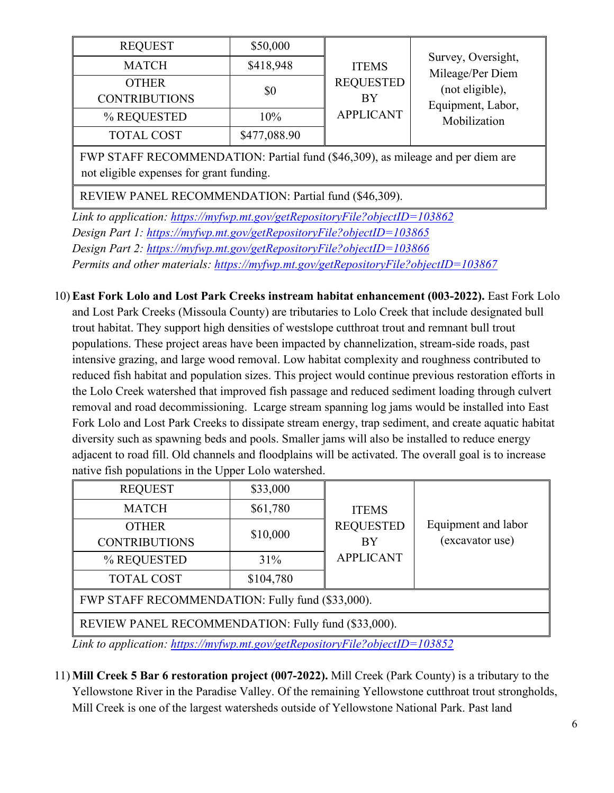| <b>REQUEST</b>                                                                      | \$50,000     |                        |                                        |  |
|-------------------------------------------------------------------------------------|--------------|------------------------|----------------------------------------|--|
| <b>MATCH</b>                                                                        | \$418,948    | <b>ITEMS</b>           | Survey, Oversight,<br>Mileage/Per Diem |  |
| <b>OTHER</b>                                                                        | \$0          | <b>REQUESTED</b>       | (not eligible),                        |  |
| <b>CONTRIBUTIONS</b>                                                                |              | BY<br><b>APPLICANT</b> | Equipment, Labor,                      |  |
| % REQUESTED                                                                         | $10\%$       |                        | Mobilization                           |  |
| <b>TOTAL COST</b>                                                                   | \$477,088.90 |                        |                                        |  |
| $EMD$ CTA EF DECOMMENTA TION. Douted find $(0.46, 200)$ so milosos and non-diam are |              |                        |                                        |  |

FWP STAFF RECOMMENDATION: Partial fund (\$46,309), as mileage and per diem are not eligible expenses for grant funding.

REVIEW PANEL RECOMMENDATION: Partial fund (\$46,309).

*Link to application: <https://myfwp.mt.gov/getRepositoryFile?objectID=103862> Design Part 1: <https://myfwp.mt.gov/getRepositoryFile?objectID=103865> Design Part 2: <https://myfwp.mt.gov/getRepositoryFile?objectID=103866> Permits and other materials: <https://myfwp.mt.gov/getRepositoryFile?objectID=103867>*

10) **East Fork Lolo and Lost Park Creeks instream habitat enhancement (003-2022).** East Fork Lolo and Lost Park Creeks (Missoula County) are tributaries to Lolo Creek that include designated bull trout habitat. They support high densities of westslope cutthroat trout and remnant bull trout populations. These project areas have been impacted by channelization, stream-side roads, past intensive grazing, and large wood removal. Low habitat complexity and roughness contributed to reduced fish habitat and population sizes. This project would continue previous restoration efforts in the Lolo Creek watershed that improved fish passage and reduced sediment loading through culvert removal and road decommissioning. Lcarge stream spanning log jams would be installed into East Fork Lolo and Lost Park Creeks to dissipate stream energy, trap sediment, and create aquatic habitat diversity such as spawning beds and pools. Smaller jams will also be installed to reduce energy adjacent to road fill. Old channels and floodplains will be activated. The overall goal is to increase native fish populations in the Upper Lolo watershed.

| <b>REQUEST</b>                                      | \$33,000  |                  |                     |  |
|-----------------------------------------------------|-----------|------------------|---------------------|--|
| <b>MATCH</b>                                        | \$61,780  | <b>ITEMS</b>     |                     |  |
| <b>OTHER</b>                                        | \$10,000  | <b>REQUESTED</b> | Equipment and labor |  |
| <b>CONTRIBUTIONS</b>                                |           | <b>BY</b>        | (excavator use)     |  |
| % REQUESTED                                         | 31%       | <b>APPLICANT</b> |                     |  |
| <b>TOTAL COST</b>                                   | \$104,780 |                  |                     |  |
| FWP STAFF RECOMMENDATION: Fully fund (\$33,000).    |           |                  |                     |  |
| REVIEW PANEL RECOMMENDATION: Fully fund (\$33,000). |           |                  |                     |  |

*Link to application:<https://myfwp.mt.gov/getRepositoryFile?objectID=103852>*

11) **Mill Creek 5 Bar 6 restoration project (007-2022).** Mill Creek (Park County) is a tributary to the Yellowstone River in the Paradise Valley. Of the remaining Yellowstone cutthroat trout strongholds, Mill Creek is one of the largest watersheds outside of Yellowstone National Park. Past land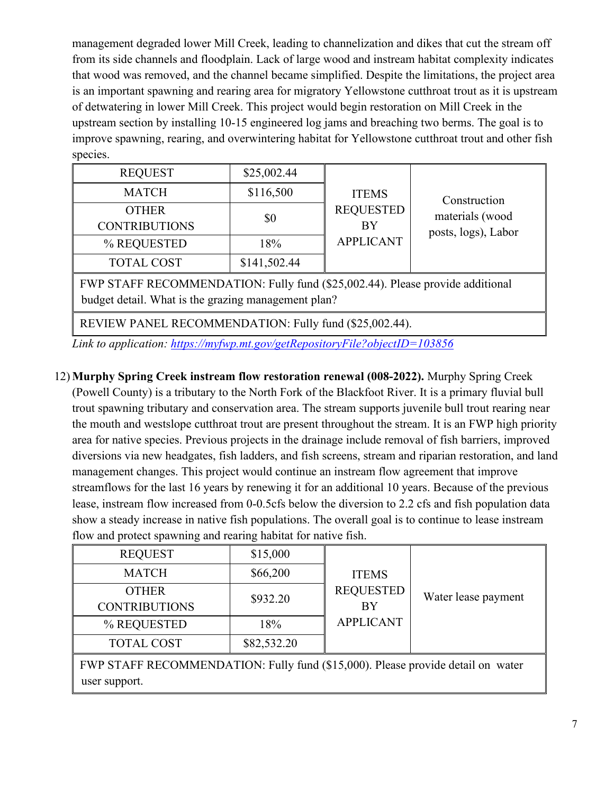management degraded lower Mill Creek, leading to channelization and dikes that cut the stream off from its side channels and floodplain. Lack of large wood and instream habitat complexity indicates that wood was removed, and the channel became simplified. Despite the limitations, the project area is an important spawning and rearing area for migratory Yellowstone cutthroat trout as it is upstream of detwatering in lower Mill Creek. This project would begin restoration on Mill Creek in the upstream section by installing 10-15 engineered log jams and breaching two berms. The goal is to improve spawning, rearing, and overwintering habitat for Yellowstone cutthroat trout and other fish species.

| <b>REQUEST</b>                                                                | \$25,002.44  |                  |                     |
|-------------------------------------------------------------------------------|--------------|------------------|---------------------|
| <b>MATCH</b>                                                                  | \$116,500    | <b>ITEMS</b>     | Construction        |
| <b>OTHER</b>                                                                  |              | <b>REQUESTED</b> | materials (wood     |
| <b>CONTRIBUTIONS</b>                                                          | \$0          | <b>BY</b>        | posts, logs), Labor |
| % REQUESTED                                                                   | 18%          | <b>APPLICANT</b> |                     |
| <b>TOTAL COST</b>                                                             | \$141,502.44 |                  |                     |
| FWP STAFF RECOMMENDATION: Fully fund (\$25,002.44). Please provide additional |              |                  |                     |

budget detail. What is the grazing management plan?

REVIEW PANEL RECOMMENDATION: Fully fund (\$25,002.44).

*Link to application: <https://myfwp.mt.gov/getRepositoryFile?objectID=103856>*

## 12) **Murphy Spring Creek instream flow restoration renewal (008-2022).** Murphy Spring Creek (Powell County) is a tributary to the North Fork of the Blackfoot River. It is a primary fluvial bull trout spawning tributary and conservation area. The stream supports juvenile bull trout rearing near the mouth and westslope cutthroat trout are present throughout the stream. It is an FWP high priority area for native species. Previous projects in the drainage include removal of fish barriers, improved diversions via new headgates, fish ladders, and fish screens, stream and riparian restoration, and land management changes. This project would continue an instream flow agreement that improve

streamflows for the last 16 years by renewing it for an additional 10 years. Because of the previous lease, instream flow increased from 0-0.5cfs below the diversion to 2.2 cfs and fish population data show a steady increase in native fish populations. The overall goal is to continue to lease instream flow and protect spawning and rearing habitat for native fish.

| <b>REQUEST</b>                                                                  | \$15,000    |                               |                     |  |
|---------------------------------------------------------------------------------|-------------|-------------------------------|---------------------|--|
| <b>MATCH</b>                                                                    | \$66,200    | <b>ITEMS</b>                  |                     |  |
| <b>OTHER</b><br><b>CONTRIBUTIONS</b>                                            | \$932.20    | <b>REQUESTED</b><br><b>BY</b> | Water lease payment |  |
| % REQUESTED                                                                     | 18%         | <b>APPLICANT</b>              |                     |  |
| <b>TOTAL COST</b>                                                               | \$82,532.20 |                               |                     |  |
| FWP STAFF RECOMMENDATION: Fully fund (\$15,000). Please provide detail on water |             |                               |                     |  |
| user support.                                                                   |             |                               |                     |  |